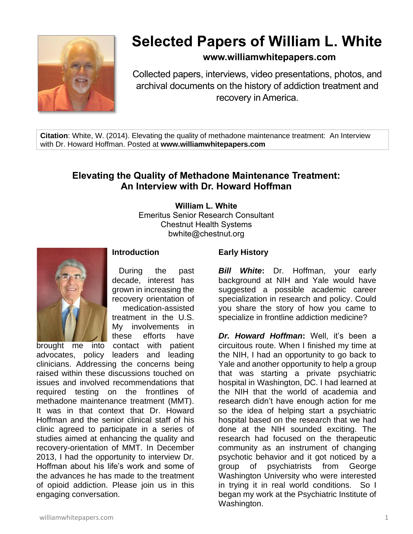

# **Selected Papers of William L. White**

## **www.williamwhitepapers.com**

Collected papers, interviews, video presentations, photos, and archival documents on the history of addiction treatment and recovery in America.

**Citation**: White, W. (2014). Elevating the quality of methadone maintenance treatment: An Interview with Dr. Howard Hoffman. Posted at **www.williamwhitepapers.com**

# **Elevating the Quality of Methadone Maintenance Treatment: An Interview with Dr. Howard Hoffman**

**William L. White**

Emeritus Senior Research Consultant Chestnut Health Systems bwhite@chestnut.org



### **Introduction**

 During the past decade, interest has grown in increasing the recovery orientation of medication-assisted treatment in the U.S. My involvements in these efforts have

brought me into contact with patient advocates, policy leaders and leading clinicians. Addressing the concerns being raised within these discussions touched on issues and involved recommendations that required testing on the frontlines of methadone maintenance treatment (MMT). It was in that context that Dr. Howard Hoffman and the senior clinical staff of his clinic agreed to participate in a series of studies aimed at enhancing the quality and recovery-orientation of MMT. In December 2013, I had the opportunity to interview Dr. Hoffman about his life's work and some of the advances he has made to the treatment of opioid addiction. Please join us in this engaging conversation.

#### **Early History**

*Bill White***:** Dr. Hoffman, your early background at NIH and Yale would have suggested a possible academic career specialization in research and policy. Could you share the story of how you came to specialize in frontline addiction medicine?

*Dr. Howard Hoffman***:** Well, it's been a circuitous route. When I finished my time at the NIH, I had an opportunity to go back to Yale and another opportunity to help a group that was starting a private psychiatric hospital in Washington, DC. I had learned at the NIH that the world of academia and research didn't have enough action for me so the idea of helping start a psychiatric hospital based on the research that we had done at the NIH sounded exciting. The research had focused on the therapeutic community as an instrument of changing psychotic behavior and it got noticed by a group of psychiatrists from George Washington University who were interested in trying it in real world conditions. So I began my work at the Psychiatric Institute of Washington.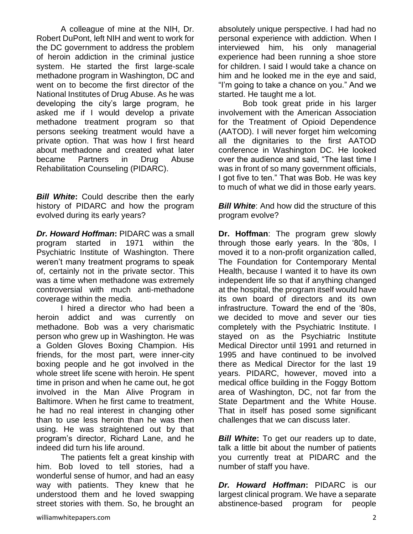A colleague of mine at the NIH, Dr. Robert DuPont, left NIH and went to work for the DC government to address the problem of heroin addiction in the criminal justice system. He started the first large-scale methadone program in Washington, DC and went on to become the first director of the National Institutes of Drug Abuse. As he was developing the city's large program, he asked me if I would develop a private methadone treatment program so that persons seeking treatment would have a private option. That was how I first heard about methadone and created what later became Partners in Drug Abuse Rehabilitation Counseling (PIDARC).

*Bill White***:** Could describe then the early history of PIDARC and how the program evolved during its early years?

*Dr. Howard Hoffman***:** PIDARC was a small program started in 1971 within the Psychiatric Institute of Washington. There weren't many treatment programs to speak of, certainly not in the private sector. This was a time when methadone was extremely controversial with much anti-methadone coverage within the media.

I hired a director who had been a heroin addict and was currently on methadone. Bob was a very charismatic person who grew up in Washington. He was a Golden Gloves Boxing Champion. His friends, for the most part, were inner-city boxing people and he got involved in the whole street life scene with heroin. He spent time in prison and when he came out, he got involved in the Man Alive Program in Baltimore. When he first came to treatment, he had no real interest in changing other than to use less heroin than he was then using. He was straightened out by that program's director, Richard Lane, and he indeed did turn his life around.

The patients felt a great kinship with him. Bob loved to tell stories, had a wonderful sense of humor, and had an easy way with patients. They knew that he understood them and he loved swapping street stories with them. So, he brought an absolutely unique perspective. I had had no personal experience with addiction. When I interviewed him, his only managerial experience had been running a shoe store for children. I said I would take a chance on him and he looked me in the eye and said, "I'm going to take a chance on you." And we started. He taught me a lot.

Bob took great pride in his larger involvement with the American Association for the Treatment of Opioid Dependence (AATOD). I will never forget him welcoming all the dignitaries to the first AATOD conference in Washington DC. He looked over the audience and said, "The last time I was in front of so many government officials, I got five to ten." That was Bob. He was key to much of what we did in those early years.

*Bill White:* And how did the structure of this program evolve?

**Dr. Hoffman**: The program grew slowly through those early years. In the '80s, I moved it to a non-profit organization called, The Foundation for Contemporary Mental Health, because I wanted it to have its own independent life so that if anything changed at the hospital, the program itself would have its own board of directors and its own infrastructure. Toward the end of the '80s, we decided to move and sever our ties completely with the Psychiatric Institute. I stayed on as the Psychiatric Institute Medical Director until 1991 and returned in 1995 and have continued to be involved there as Medical Director for the last 19 years. PIDARC, however, moved into a medical office building in the Foggy Bottom area of Washington, DC, not far from the State Department and the White House. That in itself has posed some significant challenges that we can discuss later.

*Bill White:* To get our readers up to date, talk a little bit about the number of patients you currently treat at PIDARC and the number of staff you have.

*Dr. Howard Hoffman***:** PIDARC is our largest clinical program. We have a separate abstinence-based program for people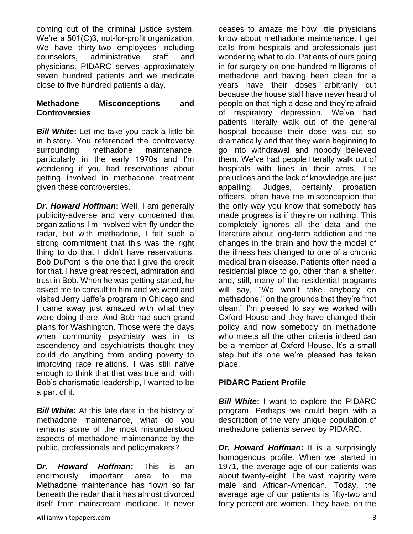coming out of the criminal justice system. We're a 501(C)3, not-for-profit organization. We have thirty-two employees including counselors, administrative staff and physicians. PIDARC serves approximately seven hundred patients and we medicate close to five hundred patients a day.

#### **Methadone Misconceptions and Controversies**

**Bill White:** Let me take you back a little bit in history. You referenced the controversy surrounding methadone maintenance, particularly in the early 1970s and I'm wondering if you had reservations about getting involved in methadone treatment given these controversies.

*Dr. Howard Hoffman***:** Well, I am generally publicity-adverse and very concerned that organizations I'm involved with fly under the radar, but with methadone, I felt such a strong commitment that this was the right thing to do that I didn't have reservations. Bob DuPont is the one that I give the credit for that. I have great respect, admiration and trust in Bob. When he was getting started, he asked me to consult to him and we went and visited Jerry Jaffe's program in Chicago and I came away just amazed with what they were doing there. And Bob had such grand plans for Washington. Those were the days when community psychiatry was in its ascendency and psychiatrists thought they could do anything from ending poverty to improving race relations. I was still naïve enough to think that that was true and, with Bob's charismatic leadership, I wanted to be a part of it.

*Bill White***:** At this late date in the history of methadone maintenance, what do you remains some of the most misunderstood aspects of methadone maintenance by the public, professionals and policymakers?

*Dr. Howard Hoffman***:** This is an enormously important area to me. Methadone maintenance has flown so far beneath the radar that it has almost divorced itself from mainstream medicine. It never

williamwhitepapers.com 3

ceases to amaze me how little physicians know about methadone maintenance. I get calls from hospitals and professionals just wondering what to do. Patients of ours going in for surgery on one hundred milligrams of methadone and having been clean for a years have their doses arbitrarily cut because the house staff have never heard of people on that high a dose and they're afraid of respiratory depression. We've had patients literally walk out of the general hospital because their dose was cut so dramatically and that they were beginning to go into withdrawal and nobody believed them. We've had people literally walk out of hospitals with lines in their arms. The prejudices and the lack of knowledge are just appalling. Judges, certainly probation officers, often have the misconception that the only way you know that somebody has made progress is if they're on nothing. This completely ignores all the data and the literature about long-term addiction and the changes in the brain and how the model of the illness has changed to one of a chronic medical brain disease. Patients often need a residential place to go, other than a shelter, and, still, many of the residential programs will say, "We won't take anybody on methadone," on the grounds that they're "not clean." I'm pleased to say we worked with Oxford House and they have changed their policy and now somebody on methadone who meets all the other criteria indeed can be a member at Oxford House. It's a small step but it's one we're pleased has taken place.

### **PIDARC Patient Profile**

*Bill White***:** I want to explore the PIDARC program. Perhaps we could begin with a description of the very unique population of methadone patients served by PIDARC.

*Dr. Howard Hoffman***:** It is a surprisingly homogenous profile. When we started in 1971, the average age of our patients was about twenty-eight. The vast majority were male and African-American. Today, the average age of our patients is fifty-two and forty percent are women. They have, on the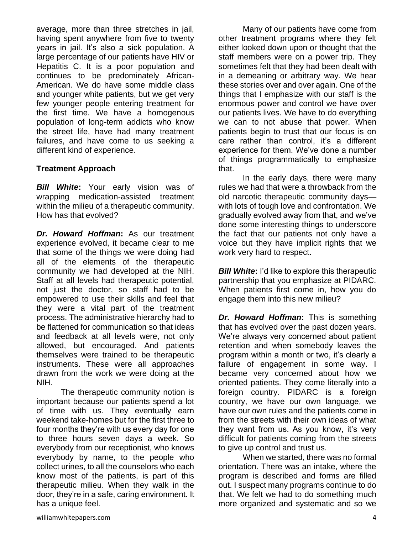average, more than three stretches in jail, having spent anywhere from five to twenty years in jail. It's also a sick population. A large percentage of our patients have HIV or Hepatitis C. It is a poor population and continues to be predominately African-American. We do have some middle class and younger white patients, but we get very few younger people entering treatment for the first time. We have a homogenous population of long-term addicts who know the street life, have had many treatment failures, and have come to us seeking a different kind of experience.

#### **Treatment Approach**

*Bill White***:** Your early vision was of wrapping medication-assisted treatment within the milieu of a therapeutic community. How has that evolved?

*Dr. Howard Hoffman***:** As our treatment experience evolved, it became clear to me that some of the things we were doing had all of the elements of the therapeutic community we had developed at the NIH. Staff at all levels had therapeutic potential, not just the doctor, so staff had to be empowered to use their skills and feel that they were a vital part of the treatment process. The administrative hierarchy had to be flattened for communication so that ideas and feedback at all levels were, not only allowed, but encouraged. And patients themselves were trained to be therapeutic instruments. These were all approaches drawn from the work we were doing at the NIH.

The therapeutic community notion is important because our patients spend a lot of time with us. They eventually earn weekend take-homes but for the first three to four months they're with us every day for one to three hours seven days a week. So everybody from our receptionist, who knows everybody by name, to the people who collect urines, to all the counselors who each know most of the patients, is part of this therapeutic milieu. When they walk in the door, they're in a safe, caring environment. It has a unique feel.

Many of our patients have come from other treatment programs where they felt either looked down upon or thought that the staff members were on a power trip. They sometimes felt that they had been dealt with in a demeaning or arbitrary way. We hear these stories over and over again. One of the things that I emphasize with our staff is the enormous power and control we have over our patients lives. We have to do everything we can to not abuse that power. When patients begin to trust that our focus is on care rather than control, it's a different experience for them. We've done a number of things programmatically to emphasize that.

In the early days, there were many rules we had that were a throwback from the old narcotic therapeutic community days with lots of tough love and confrontation. We gradually evolved away from that, and we've done some interesting things to underscore the fact that our patients not only have a voice but they have implicit rights that we work very hard to respect.

*Bill White:* I'd like to explore this therapeutic partnership that you emphasize at PIDARC. When patients first come in, how you do engage them into this new milieu?

*Dr. Howard Hoffman***:** This is something that has evolved over the past dozen years. We're always very concerned about patient retention and when somebody leaves the program within a month or two, it's clearly a failure of engagement in some way. I became very concerned about how we oriented patients. They come literally into a foreign country. PIDARC is a foreign country, we have our own language, we have our own rules and the patients come in from the streets with their own ideas of what they want from us. As you know, it's very difficult for patients coming from the streets to give up control and trust us.

When we started, there was no formal orientation. There was an intake, where the program is described and forms are filled out. I suspect many programs continue to do that. We felt we had to do something much more organized and systematic and so we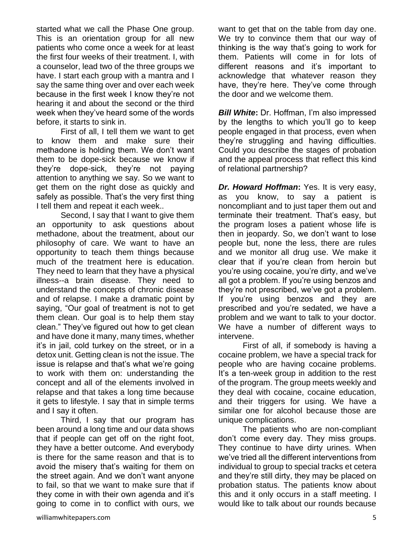started what we call the Phase One group. This is an orientation group for all new patients who come once a week for at least the first four weeks of their treatment. I, with a counselor, lead two of the three groups we have. I start each group with a mantra and I say the same thing over and over each week because in the first week I know they're not hearing it and about the second or the third week when they've heard some of the words before, it starts to sink in.

First of all, I tell them we want to get to know them and make sure their methadone is holding them. We don't want them to be dope-sick because we know if they're dope-sick, they're not paying attention to anything we say. So we want to get them on the right dose as quickly and safely as possible. That's the very first thing I tell them and repeat it each week..

Second, I say that I want to give them an opportunity to ask questions about methadone, about the treatment, about our philosophy of care. We want to have an opportunity to teach them things because much of the treatment here is education. They need to learn that they have a physical illness--a brain disease. They need to understand the concepts of chronic disease and of relapse. I make a dramatic point by saying, "Our goal of treatment is not to get them clean. Our goal is to help them stay clean." They've figured out how to get clean and have done it many, many times, whether it's in jail, cold turkey on the street, or in a detox unit. Getting clean is not the issue. The issue is relapse and that's what we're going to work with them on: understanding the concept and all of the elements involved in relapse and that takes a long time because it gets to lifestyle. I say that in simple terms and I say it often.

Third, I say that our program has been around a long time and our data shows that if people can get off on the right foot, they have a better outcome. And everybody is there for the same reason and that is to avoid the misery that's waiting for them on the street again. And we don't want anyone to fail, so that we want to make sure that if they come in with their own agenda and it's going to come in to conflict with ours, we

want to get that on the table from day one. We try to convince them that our way of thinking is the way that's going to work for them. Patients will come in for lots of different reasons and it's important to acknowledge that whatever reason they have, they're here. They've come through the door and we welcome them.

*Bill White***:** Dr. Hoffman, I'm also impressed by the lengths to which you'll go to keep people engaged in that process, even when they're struggling and having difficulties. Could you describe the stages of probation and the appeal process that reflect this kind of relational partnership?

*Dr. Howard Hoffman***:** Yes. It is very easy, as you know, to say a patient is noncompliant and to just taper them out and terminate their treatment. That's easy, but the program loses a patient whose life is then in jeopardy. So, we don't want to lose people but, none the less, there are rules and we monitor all drug use. We make it clear that if you're clean from heroin but you're using cocaine, you're dirty, and we've all got a problem. If you're using benzos and they're not prescribed, we've got a problem. If you're using benzos and they are prescribed and you're sedated, we have a problem and we want to talk to your doctor. We have a number of different ways to intervene.

First of all, if somebody is having a cocaine problem, we have a special track for people who are having cocaine problems. It's a ten-week group in addition to the rest of the program. The group meets weekly and they deal with cocaine, cocaine education, and their triggers for using. We have a similar one for alcohol because those are unique complications.

The patients who are non-compliant don't come every day. They miss groups. They continue to have dirty urines. When we've tried all the different interventions from individual to group to special tracks et cetera and they're still dirty, they may be placed on probation status. The patients know about this and it only occurs in a staff meeting. I would like to talk about our rounds because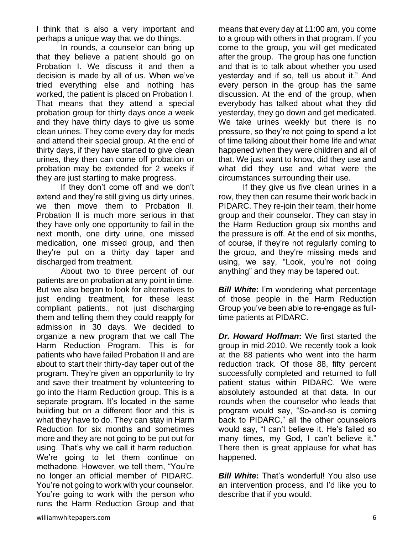I think that is also a very important and perhaps a unique way that we do things.

In rounds, a counselor can bring up that they believe a patient should go on Probation I. We discuss it and then a decision is made by all of us. When we've tried everything else and nothing has worked, the patient is placed on Probation I. That means that they attend a special probation group for thirty days once a week and they have thirty days to give us some clean urines. They come every day for meds and attend their special group. At the end of thirty days, if they have started to give clean urines, they then can come off probation or probation may be extended for 2 weeks if they are just starting to make progress.

If they don't come off and we don't extend and they're still giving us dirty urines, we then move them to Probation II. Probation II is much more serious in that they have only one opportunity to fail in the next month, one dirty urine, one missed medication, one missed group, and then they're put on a thirty day taper and discharged from treatment.

About two to three percent of our patients are on probation at any point in time. But we also began to look for alternatives to just ending treatment, for these least compliant patients., not just discharging them and telling them they could reapply for admission in 30 days. We decided to organize a new program that we call The Harm Reduction Program. This is for patients who have failed Probation II and are about to start their thirty-day taper out of the program. They're given an opportunity to try and save their treatment by volunteering to go into the Harm Reduction group. This is a separate program. It's located in the same building but on a different floor and this is what they have to do. They can stay in Harm Reduction for six months and sometimes more and they are not going to be put out for using. That's why we call it harm reduction. We're going to let them continue on methadone. However, we tell them, "You're no longer an official member of PIDARC. You're not going to work with your counselor. You're going to work with the person who runs the Harm Reduction Group and that means that every day at 11:00 am, you come to a group with others in that program. If you come to the group, you will get medicated after the group. The group has one function and that is to talk about whether you used yesterday and if so, tell us about it." And every person in the group has the same discussion. At the end of the group, when everybody has talked about what they did yesterday, they go down and get medicated. We take urines weekly but there is no pressure, so they're not going to spend a lot of time talking about their home life and what happened when they were children and all of that. We just want to know, did they use and what did they use and what were the circumstances surrounding their use.

If they give us five clean urines in a row, they then can resume their work back in PIDARC. They re-join their team, their home group and their counselor. They can stay in the Harm Reduction group six months and the pressure is off. At the end of six months, of course, if they're not regularly coming to the group, and they're missing meds and using, we say, "Look, you're not doing anything" and they may be tapered out.

**Bill White:** I'm wondering what percentage of those people in the Harm Reduction Group you've been able to re-engage as fulltime patients at PIDARC.

*Dr. Howard Hoffman***:** We first started the group in mid-2010. We recently took a look at the 88 patients who went into the harm reduction track. Of those 88, fifty percent successfully completed and returned to full patient status within PIDARC. We were absolutely astounded at that data. In our rounds when the counselor who leads that program would say, "So-and-so is coming back to PIDARC," all the other counselors would say, "I can't believe it. He's failed so many times, my God, I can't believe it." There then is great applause for what has happened.

*Bill White***:** That's wonderful! You also use an intervention process, and I'd like you to describe that if you would.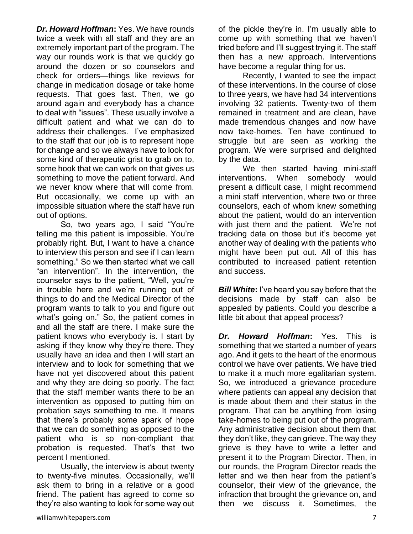*Dr. Howard Hoffman***:** Yes. We have rounds twice a week with all staff and they are an extremely important part of the program. The way our rounds work is that we quickly go around the dozen or so counselors and check for orders—things like reviews for change in medication dosage or take home requests. That goes fast. Then, we go around again and everybody has a chance to deal with "issues". These usually involve a difficult patient and what we can do to address their challenges. I've emphasized to the staff that our job is to represent hope for change and so we always have to look for some kind of therapeutic grist to grab on to, some hook that we can work on that gives us something to move the patient forward. And we never know where that will come from. But occasionally, we come up with an impossible situation where the staff have run out of options.

So, two years ago, I said "You're telling me this patient is impossible. You're probably right. But, I want to have a chance to interview this person and see if I can learn something." So we then started what we call "an intervention". In the intervention, the counselor says to the patient, "Well, you're in trouble here and we're running out of things to do and the Medical Director of the program wants to talk to you and figure out what's going on." So, the patient comes in and all the staff are there. I make sure the patient knows who everybody is. I start by asking if they know why they're there. They usually have an idea and then I will start an interview and to look for something that we have not yet discovered about this patient and why they are doing so poorly. The fact that the staff member wants there to be an intervention as opposed to putting him on probation says something to me. It means that there's probably some spark of hope that we can do something as opposed to the patient who is so non-compliant that probation is requested. That's that two percent I mentioned.

Usually, the interview is about twenty to twenty-five minutes. Occasionally, we'll ask them to bring in a relative or a good friend. The patient has agreed to come so they're also wanting to look for some way out

of the pickle they're in. I'm usually able to come up with something that we haven't tried before and I'll suggest trying it. The staff then has a new approach. Interventions have become a regular thing for us.

Recently, I wanted to see the impact of these interventions. In the course of close to three years, we have had 34 interventions involving 32 patients. Twenty-two of them remained in treatment and are clean, have made tremendous changes and now have now take-homes. Ten have continued to struggle but are seen as working the program. We were surprised and delighted by the data.

We then started having mini-staff interventions. When somebody would present a difficult case, I might recommend a mini staff intervention, where two or three counselors, each of whom knew something about the patient, would do an intervention with just them and the patient. We're not tracking data on those but it's become yet another way of dealing with the patients who might have been put out. All of this has contributed to increased patient retention and success.

*Bill White***:** I've heard you say before that the decisions made by staff can also be appealed by patients. Could you describe a little bit about that appeal process?

*Dr. Howard Hoffman***:** Yes. This is something that we started a number of years ago. And it gets to the heart of the enormous control we have over patients. We have tried to make it a much more egalitarian system. So, we introduced a grievance procedure where patients can appeal any decision that is made about them and their status in the program. That can be anything from losing take-homes to being put out of the program. Any administrative decision about them that they don't like, they can grieve. The way they grieve is they have to write a letter and present it to the Program Director. Then, in our rounds, the Program Director reads the letter and we then hear from the patient's counselor, their view of the grievance, the infraction that brought the grievance on, and then we discuss it. Sometimes, the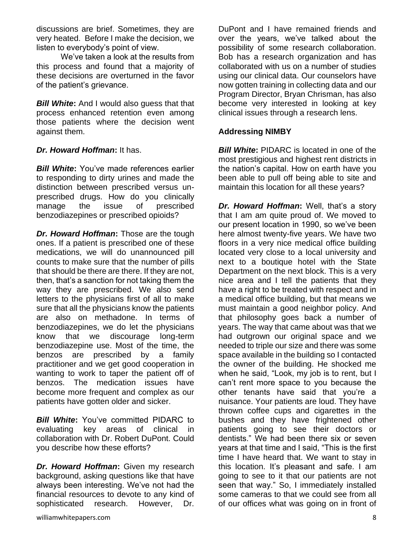discussions are brief. Sometimes, they are very heated. Before I make the decision, we listen to everybody's point of view.

We've taken a look at the results from this process and found that a majority of these decisions are overturned in the favor of the patient's grievance.

*Bill White***:** And I would also guess that that process enhanced retention even among those patients where the decision went against them.

#### *Dr. Howard Hoffman***:** It has.

*Bill White***:** You've made references earlier to responding to dirty urines and made the distinction between prescribed versus unprescribed drugs. How do you clinically manage the issue of prescribed benzodiazepines or prescribed opioids?

*Dr. Howard Hoffman***:** Those are the tough ones. If a patient is prescribed one of these medications, we will do unannounced pill counts to make sure that the number of pills that should be there are there. If they are not, then, that's a sanction for not taking them the way they are prescribed. We also send letters to the physicians first of all to make sure that all the physicians know the patients are also on methadone. In terms of benzodiazepines, we do let the physicians know that we discourage long-term benzodiazepine use. Most of the time, the benzos are prescribed by a family practitioner and we get good cooperation in wanting to work to taper the patient off of benzos. The medication issues have become more frequent and complex as our patients have gotten older and sicker.

*Bill White***:** You've committed PIDARC to evaluating key areas of clinical in collaboration with Dr. Robert DuPont. Could you describe how these efforts?

*Dr. Howard Hoffman***:** Given my research background, asking questions like that have always been interesting. We've not had the financial resources to devote to any kind of sophisticated research. However, Dr.

DuPont and I have remained friends and over the years, we've talked about the possibility of some research collaboration. Bob has a research organization and has collaborated with us on a number of studies using our clinical data. Our counselors have now gotten training in collecting data and our Program Director, Bryan Chrisman, has also become very interested in looking at key clinical issues through a research lens.

#### **Addressing NIMBY**

*Bill White***:** PIDARC is located in one of the most prestigious and highest rent districts in the nation's capital. How on earth have you been able to pull off being able to site and maintain this location for all these years?

*Dr. Howard Hoffman***:** Well, that's a story that I am am quite proud of. We moved to our present location in 1990, so we've been here almost twenty-five years. We have two floors in a very nice medical office building located very close to a local university and next to a boutique hotel with the State Department on the next block. This is a very nice area and I tell the patients that they have a right to be treated with respect and in a medical office building, but that means we must maintain a good neighbor policy. And that philosophy goes back a number of years. The way that came about was that we had outgrown our original space and we needed to triple our size and there was some space available in the building so I contacted the owner of the building. He shocked me when he said, "Look, my job is to rent, but I can't rent more space to you because the other tenants have said that you're a nuisance. Your patients are loud. They have thrown coffee cups and cigarettes in the bushes and they have frightened other patients going to see their doctors or dentists." We had been there six or seven years at that time and I said, "This is the first time I have heard that. We want to stay in this location. It's pleasant and safe. I am going to see to it that our patients are not seen that way." So, I immediately installed some cameras to that we could see from all of our offices what was going on in front of